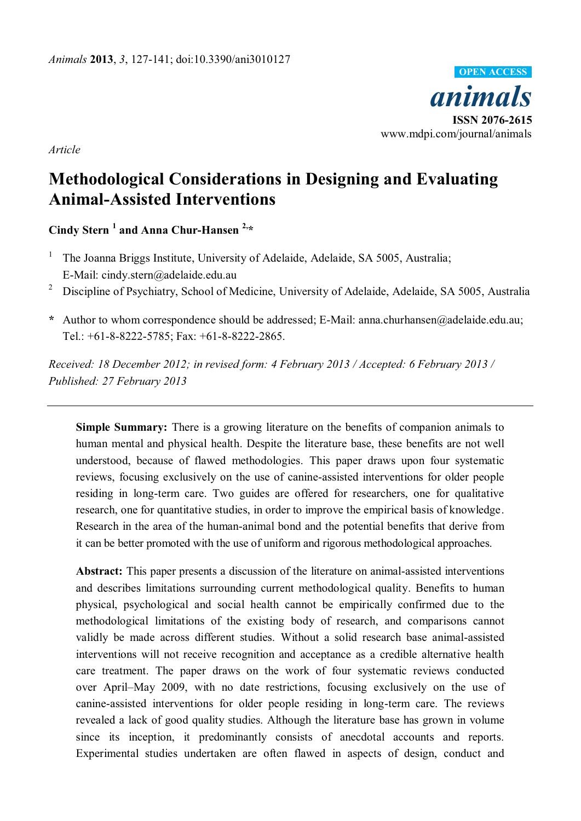

*Article* 

# **Methodological Considerations in Designing and Evaluating Animal-Assisted Interventions**

**Cindy Stern <sup>1</sup> and Anna Chur-Hansen 2,\*** 

- 1 The Joanna Briggs Institute, University of Adelaide, Adelaide, SA 5005, Australia; E-Mail: cindy.stern@adelaide.edu.au
- <sup>2</sup> Discipline of Psychiatry, School of Medicine, University of Adelaide, Adelaide, SA 5005, Australia
- **\*** Author to whom correspondence should be addressed; E-Mail: anna.churhansen@adelaide.edu.au; Tel.: +61-8-8222-5785; Fax: +61-8-8222-2865.

*Received: 18 December 2012; in revised form: 4 February 2013 / Accepted: 6 February 2013 / Published: 27 February 2013* 

**Simple Summary:** There is a growing literature on the benefits of companion animals to human mental and physical health. Despite the literature base, these benefits are not well understood, because of flawed methodologies. This paper draws upon four systematic reviews, focusing exclusively on the use of canine-assisted interventions for older people residing in long-term care. Two guides are offered for researchers, one for qualitative research, one for quantitative studies, in order to improve the empirical basis of knowledge. Research in the area of the human-animal bond and the potential benefits that derive from it can be better promoted with the use of uniform and rigorous methodological approaches.

**Abstract:** This paper presents a discussion of the literature on animal-assisted interventions and describes limitations surrounding current methodological quality. Benefits to human physical, psychological and social health cannot be empirically confirmed due to the methodological limitations of the existing body of research, and comparisons cannot validly be made across different studies. Without a solid research base animal-assisted interventions will not receive recognition and acceptance as a credible alternative health care treatment. The paper draws on the work of four systematic reviews conducted over April–May 2009, with no date restrictions, focusing exclusively on the use of canine-assisted interventions for older people residing in long-term care. The reviews revealed a lack of good quality studies. Although the literature base has grown in volume since its inception, it predominantly consists of anecdotal accounts and reports. Experimental studies undertaken are often flawed in aspects of design, conduct and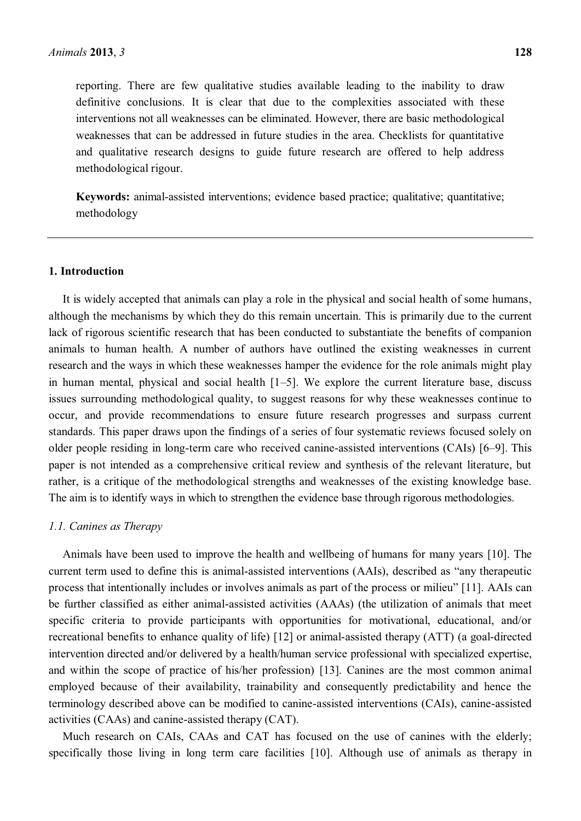reporting. There are few qualitative studies available leading to the inability to draw definitive conclusions. It is clear that due to the complexities associated with these interventions not all weaknesses can be eliminated. However, there are basic methodological weaknesses that can be addressed in future studies in the area. Checklists for quantitative and qualitative research designs to guide future research are offered to help address methodological rigour.

**Keywords:** animal-assisted interventions; evidence based practice; qualitative; quantitative; methodology

#### **1. Introduction**

It is widely accepted that animals can play a role in the physical and social health of some humans, although the mechanisms by which they do this remain uncertain. This is primarily due to the current lack of rigorous scientific research that has been conducted to substantiate the benefits of companion animals to human health. A number of authors have outlined the existing weaknesses in current research and the ways in which these weaknesses hamper the evidence for the role animals might play in human mental, physical and social health  $[1-5]$ . We explore the current literature base, discuss issues surrounding methodological quality, to suggest reasons for why these weaknesses continue to occur, and provide recommendations to ensure future research progresses and surpass current standards. This paper draws upon the findings of a series of four systematic reviews focused solely on older people residing in long-term care who received canine-assisted interventions (CAIs) [6–9]. This paper is not intended as a comprehensive critical review and synthesis of the relevant literature, but rather, is a critique of the methodological strengths and weaknesses of the existing knowledge base. The aim is to identify ways in which to strengthen the evidence base through rigorous methodologies.

#### *1.1. Canines as Therapy*

Animals have been used to improve the health and wellbeing of humans for many years [10]. The current term used to define this is animal-assisted interventions (AAIs), described as "any therapeutic process that intentionally includes or involves animals as part of the process or milieu´ [11]. AAIs can be further classified as either animal-assisted activities (AAAs) (the utilization of animals that meet specific criteria to provide participants with opportunities for motivational, educational, and/or recreational benefits to enhance quality of life) [12] or animal-assisted therapy (ATT) (a goal-directed intervention directed and/or delivered by a health/human service professional with specialized expertise, and within the scope of practice of his/her profession) [13]. Canines are the most common animal employed because of their availability, trainability and consequently predictability and hence the terminology described above can be modified to canine-assisted interventions (CAIs), canine-assisted activities (CAAs) and canine-assisted therapy (CAT).

Much research on CAIs, CAAs and CAT has focused on the use of canines with the elderly; specifically those living in long term care facilities [10]. Although use of animals as therapy in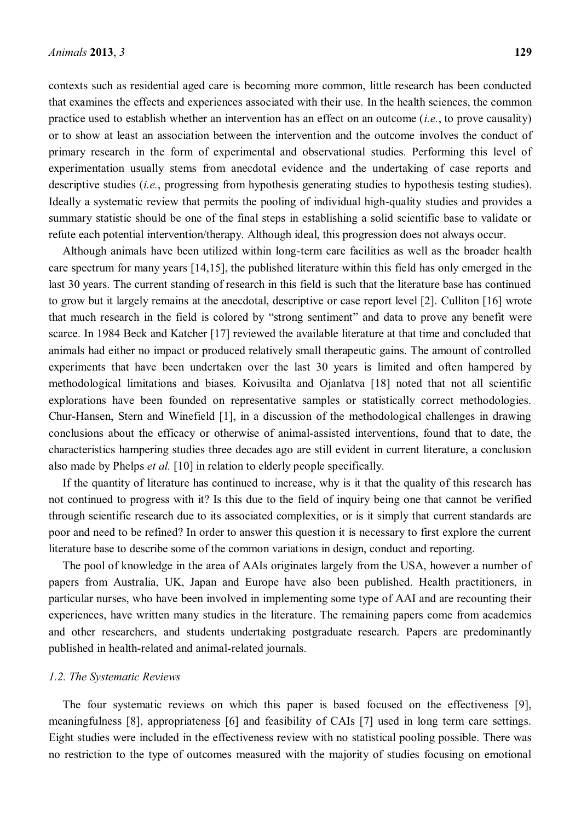contexts such as residential aged care is becoming more common, little research has been conducted that examines the effects and experiences associated with their use. In the health sciences, the common practice used to establish whether an intervention has an effect on an outcome (*i.e.*, to prove causality) or to show at least an association between the intervention and the outcome involves the conduct of primary research in the form of experimental and observational studies. Performing this level of experimentation usually stems from anecdotal evidence and the undertaking of case reports and descriptive studies *(i.e., progressing from hypothesis generating studies to hypothesis testing studies)*. Ideally a systematic review that permits the pooling of individual high-quality studies and provides a summary statistic should be one of the final steps in establishing a solid scientific base to validate or refute each potential intervention/therapy. Although ideal, this progression does not always occur.

Although animals have been utilized within long-term care facilities as well as the broader health care spectrum for many years [14,15], the published literature within this field has only emerged in the last 30 years. The current standing of research in this field is such that the literature base has continued to grow but it largely remains at the anecdotal, descriptive or case report level [2]. Culliton [16] wrote that much research in the field is colored by "strong sentiment" and data to prove any benefit were scarce. In 1984 Beck and Katcher [17] reviewed the available literature at that time and concluded that animals had either no impact or produced relatively small therapeutic gains. The amount of controlled experiments that have been undertaken over the last 30 years is limited and often hampered by methodological limitations and biases. Koivusilta and Ojanlatva [18] noted that not all scientific explorations have been founded on representative samples or statistically correct methodologies. Chur-Hansen, Stern and Winefield [1], in a discussion of the methodological challenges in drawing conclusions about the efficacy or otherwise of animal-assisted interventions, found that to date, the characteristics hampering studies three decades ago are still evident in current literature, a conclusion also made by Phelps *et al.* [10] in relation to elderly people specifically.

If the quantity of literature has continued to increase, why is it that the quality of this research has not continued to progress with it? Is this due to the field of inquiry being one that cannot be verified through scientific research due to its associated complexities, or is it simply that current standards are poor and need to be refined? In order to answer this question it is necessary to first explore the current literature base to describe some of the common variations in design, conduct and reporting.

The pool of knowledge in the area of AAIs originates largely from the USA, however a number of papers from Australia, UK, Japan and Europe have also been published. Health practitioners, in particular nurses, who have been involved in implementing some type of AAI and are recounting their experiences, have written many studies in the literature. The remaining papers come from academics and other researchers, and students undertaking postgraduate research. Papers are predominantly published in health-related and animal-related journals.

#### *1.2. The Systematic Reviews*

The four systematic reviews on which this paper is based focused on the effectiveness [9], meaningfulness [8], appropriateness [6] and feasibility of CAIs [7] used in long term care settings. Eight studies were included in the effectiveness review with no statistical pooling possible. There was no restriction to the type of outcomes measured with the majority of studies focusing on emotional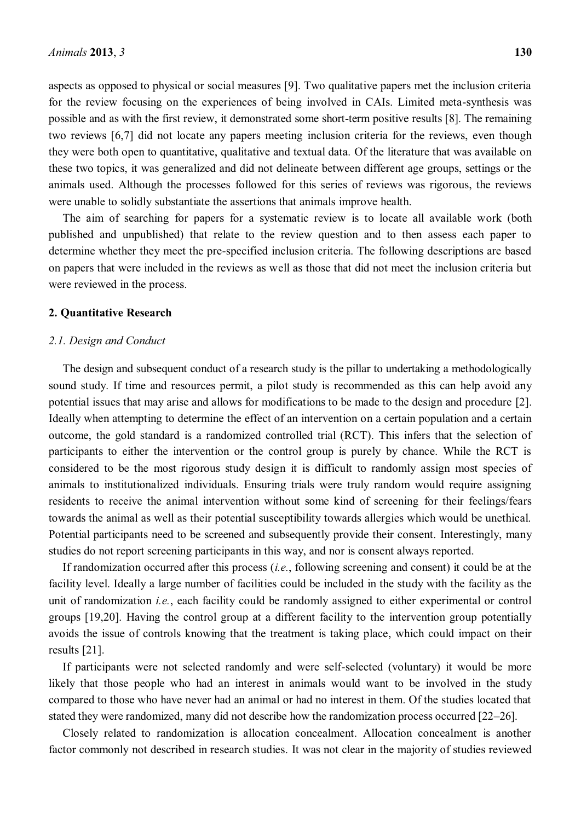aspects as opposed to physical or social measures [9]. Two qualitative papers met the inclusion criteria for the review focusing on the experiences of being involved in CAIs. Limited meta-synthesis was possible and as with the first review, it demonstrated some short-term positive results [8]. The remaining two reviews [6,7] did not locate any papers meeting inclusion criteria for the reviews, even though they were both open to quantitative, qualitative and textual data. Of the literature that was available on these two topics, it was generalized and did not delineate between different age groups, settings or the animals used. Although the processes followed for this series of reviews was rigorous, the reviews were unable to solidly substantiate the assertions that animals improve health.

The aim of searching for papers for a systematic review is to locate all available work (both published and unpublished) that relate to the review question and to then assess each paper to determine whether they meet the pre-specified inclusion criteria. The following descriptions are based on papers that were included in the reviews as well as those that did not meet the inclusion criteria but were reviewed in the process.

#### **2. Quantitative Research**

#### *2.1. Design and Conduct*

The design and subsequent conduct of a research study is the pillar to undertaking a methodologically sound study. If time and resources permit, a pilot study is recommended as this can help avoid any potential issues that may arise and allows for modifications to be made to the design and procedure [2]. Ideally when attempting to determine the effect of an intervention on a certain population and a certain outcome, the gold standard is a randomized controlled trial (RCT). This infers that the selection of participants to either the intervention or the control group is purely by chance. While the RCT is considered to be the most rigorous study design it is difficult to randomly assign most species of animals to institutionalized individuals. Ensuring trials were truly random would require assigning residents to receive the animal intervention without some kind of screening for their feelings/fears towards the animal as well as their potential susceptibility towards allergies which would be unethical. Potential participants need to be screened and subsequently provide their consent. Interestingly, many studies do not report screening participants in this way, and nor is consent always reported.

If randomization occurred after this process (*i.e.*, following screening and consent) it could be at the facility level. Ideally a large number of facilities could be included in the study with the facility as the unit of randomization *i.e.*, each facility could be randomly assigned to either experimental or control groups [19,20]. Having the control group at a different facility to the intervention group potentially avoids the issue of controls knowing that the treatment is taking place, which could impact on their results [21].

If participants were not selected randomly and were self-selected (voluntary) it would be more likely that those people who had an interest in animals would want to be involved in the study compared to those who have never had an animal or had no interest in them. Of the studies located that stated they were randomized, many did not describe how the randomization process occurred  $[22-26]$ .

Closely related to randomization is allocation concealment. Allocation concealment is another factor commonly not described in research studies. It was not clear in the majority of studies reviewed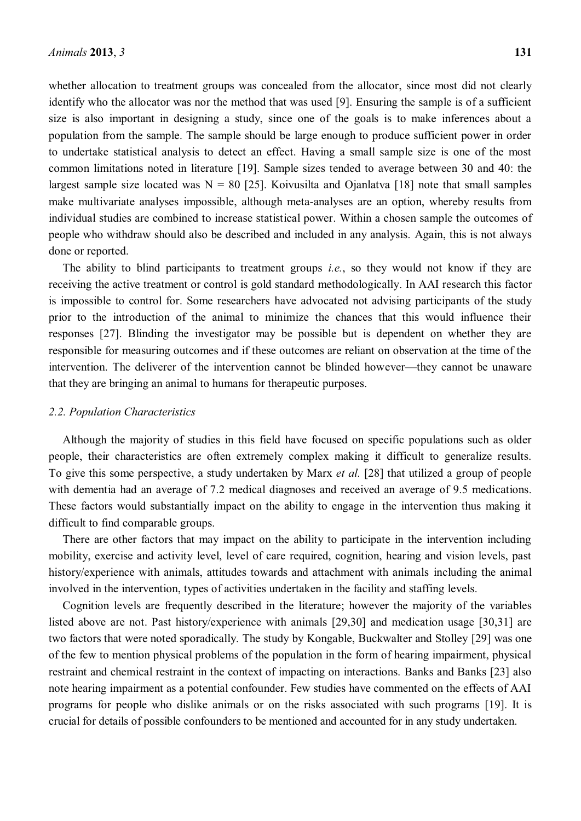whether allocation to treatment groups was concealed from the allocator, since most did not clearly identify who the allocator was nor the method that was used [9]. Ensuring the sample is of a sufficient size is also important in designing a study, since one of the goals is to make inferences about a population from the sample. The sample should be large enough to produce sufficient power in order to undertake statistical analysis to detect an effect. Having a small sample size is one of the most common limitations noted in literature [19]. Sample sizes tended to average between 30 and 40: the largest sample size located was  $N = 80$  [25]. Koivusilta and Ojanlatva [18] note that small samples make multivariate analyses impossible, although meta-analyses are an option, whereby results from individual studies are combined to increase statistical power. Within a chosen sample the outcomes of people who withdraw should also be described and included in any analysis. Again, this is not always done or reported.

The ability to blind participants to treatment groups *i.e.*, so they would not know if they are receiving the active treatment or control is gold standard methodologically. In AAI research this factor is impossible to control for. Some researchers have advocated not advising participants of the study prior to the introduction of the animal to minimize the chances that this would influence their responses [27]. Blinding the investigator may be possible but is dependent on whether they are responsible for measuring outcomes and if these outcomes are reliant on observation at the time of the intervention. The deliverer of the intervention cannot be blinded however—they cannot be unaware that they are bringing an animal to humans for therapeutic purposes.

## *2.2. Population Characteristics*

Although the majority of studies in this field have focused on specific populations such as older people, their characteristics are often extremely complex making it difficult to generalize results. To give this some perspective, a study undertaken by Marx *et al.* [28] that utilized a group of people with dementia had an average of 7.2 medical diagnoses and received an average of 9.5 medications. These factors would substantially impact on the ability to engage in the intervention thus making it difficult to find comparable groups.

There are other factors that may impact on the ability to participate in the intervention including mobility, exercise and activity level, level of care required, cognition, hearing and vision levels, past history/experience with animals, attitudes towards and attachment with animals including the animal involved in the intervention, types of activities undertaken in the facility and staffing levels.

Cognition levels are frequently described in the literature; however the majority of the variables listed above are not. Past history/experience with animals [29,30] and medication usage [30,31] are two factors that were noted sporadically. The study by Kongable, Buckwalter and Stolley [29] was one of the few to mention physical problems of the population in the form of hearing impairment, physical restraint and chemical restraint in the context of impacting on interactions. Banks and Banks [23] also note hearing impairment as a potential confounder. Few studies have commented on the effects of AAI programs for people who dislike animals or on the risks associated with such programs [19]. It is crucial for details of possible confounders to be mentioned and accounted for in any study undertaken.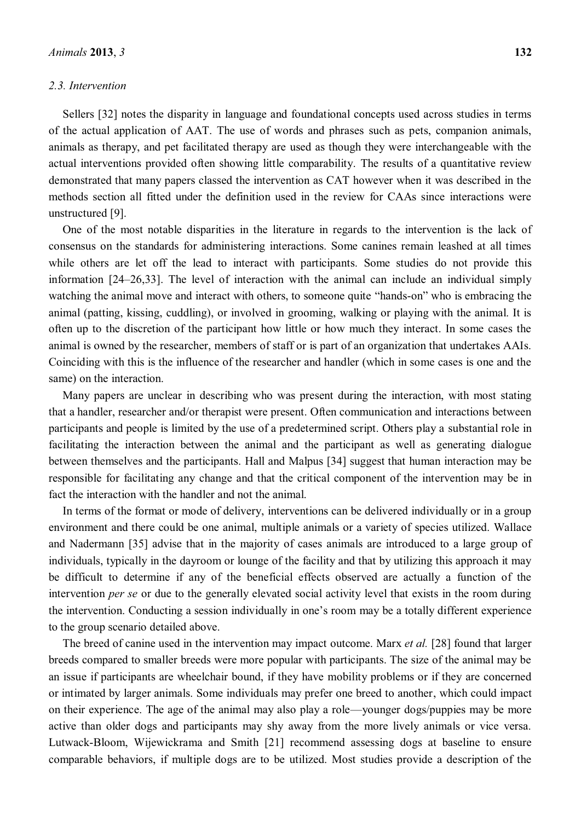## *2.3. Intervention*

Sellers [32] notes the disparity in language and foundational concepts used across studies in terms of the actual application of AAT. The use of words and phrases such as pets, companion animals, animals as therapy, and pet facilitated therapy are used as though they were interchangeable with the actual interventions provided often showing little comparability. The results of a quantitative review demonstrated that many papers classed the intervention as CAT however when it was described in the methods section all fitted under the definition used in the review for CAAs since interactions were unstructured [9].

One of the most notable disparities in the literature in regards to the intervention is the lack of consensus on the standards for administering interactions. Some canines remain leashed at all times while others are let off the lead to interact with participants. Some studies do not provide this information  $[24-26,33]$ . The level of interaction with the animal can include an individual simply watching the animal move and interact with others, to someone quite "hands-on" who is embracing the animal (patting, kissing, cuddling), or involved in grooming, walking or playing with the animal. It is often up to the discretion of the participant how little or how much they interact. In some cases the animal is owned by the researcher, members of staff or is part of an organization that undertakes AAIs. Coinciding with this is the influence of the researcher and handler (which in some cases is one and the same) on the interaction.

Many papers are unclear in describing who was present during the interaction, with most stating that a handler, researcher and/or therapist were present. Often communication and interactions between participants and people is limited by the use of a predetermined script. Others play a substantial role in facilitating the interaction between the animal and the participant as well as generating dialogue between themselves and the participants. Hall and Malpus [34] suggest that human interaction may be responsible for facilitating any change and that the critical component of the intervention may be in fact the interaction with the handler and not the animal.

In terms of the format or mode of delivery, interventions can be delivered individually or in a group environment and there could be one animal, multiple animals or a variety of species utilized. Wallace and Nadermann [35] advise that in the majority of cases animals are introduced to a large group of individuals, typically in the dayroom or lounge of the facility and that by utilizing this approach it may be difficult to determine if any of the beneficial effects observed are actually a function of the intervention *per se* or due to the generally elevated social activity level that exists in the room during the intervention. Conducting a session individually in one's room may be a totally different experience to the group scenario detailed above.

The breed of canine used in the intervention may impact outcome. Marx *et al.* [28] found that larger breeds compared to smaller breeds were more popular with participants. The size of the animal may be an issue if participants are wheelchair bound, if they have mobility problems or if they are concerned or intimated by larger animals. Some individuals may prefer one breed to another, which could impact on their experience. The age of the animal may also play a role—younger dogs/puppies may be more active than older dogs and participants may shy away from the more lively animals or vice versa. Lutwack-Bloom, Wijewickrama and Smith [21] recommend assessing dogs at baseline to ensure comparable behaviors, if multiple dogs are to be utilized. Most studies provide a description of the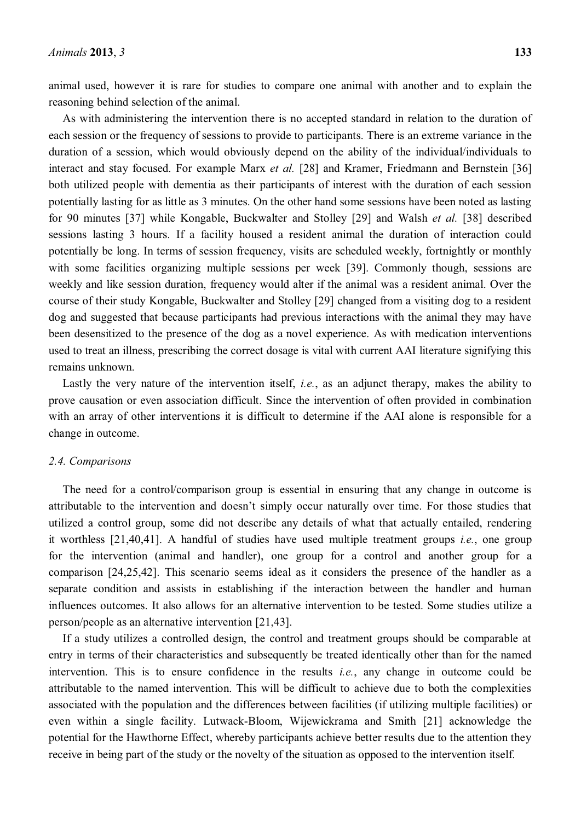As with administering the intervention there is no accepted standard in relation to the duration of each session or the frequency of sessions to provide to participants. There is an extreme variance in the duration of a session, which would obviously depend on the ability of the individual/individuals to interact and stay focused. For example Marx *et al.* [28] and Kramer, Friedmann and Bernstein [36] both utilized people with dementia as their participants of interest with the duration of each session potentially lasting for as little as 3 minutes. On the other hand some sessions have been noted as lasting for 90 minutes [37] while Kongable, Buckwalter and Stolley [29] and Walsh *et al.* [38] described sessions lasting 3 hours. If a facility housed a resident animal the duration of interaction could potentially be long. In terms of session frequency, visits are scheduled weekly, fortnightly or monthly with some facilities organizing multiple sessions per week [39]. Commonly though, sessions are weekly and like session duration, frequency would alter if the animal was a resident animal. Over the course of their study Kongable, Buckwalter and Stolley [29] changed from a visiting dog to a resident dog and suggested that because participants had previous interactions with the animal they may have been desensitized to the presence of the dog as a novel experience. As with medication interventions used to treat an illness, prescribing the correct dosage is vital with current AAI literature signifying this remains unknown.

Lastly the very nature of the intervention itself, *i.e.*, as an adjunct therapy, makes the ability to prove causation or even association difficult. Since the intervention of often provided in combination with an array of other interventions it is difficult to determine if the AAI alone is responsible for a change in outcome.

#### *2.4. Comparisons*

The need for a control/comparison group is essential in ensuring that any change in outcome is attributable to the intervention and doesn't simply occur naturally over time. For those studies that utilized a control group, some did not describe any details of what that actually entailed, rendering it worthless [21,40,41]. A handful of studies have used multiple treatment groups *i.e.*, one group for the intervention (animal and handler), one group for a control and another group for a comparison [24,25,42]. This scenario seems ideal as it considers the presence of the handler as a separate condition and assists in establishing if the interaction between the handler and human influences outcomes. It also allows for an alternative intervention to be tested. Some studies utilize a person/people as an alternative intervention [21,43].

If a study utilizes a controlled design, the control and treatment groups should be comparable at entry in terms of their characteristics and subsequently be treated identically other than for the named intervention. This is to ensure confidence in the results *i.e.*, any change in outcome could be attributable to the named intervention. This will be difficult to achieve due to both the complexities associated with the population and the differences between facilities (if utilizing multiple facilities) or even within a single facility. Lutwack-Bloom, Wijewickrama and Smith [21] acknowledge the potential for the Hawthorne Effect, whereby participants achieve better results due to the attention they receive in being part of the study or the novelty of the situation as opposed to the intervention itself.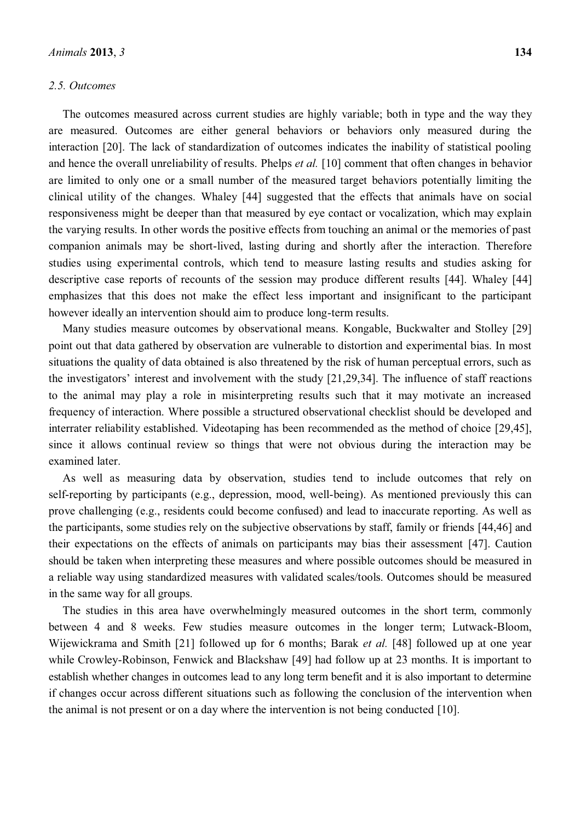## *2.5. Outcomes*

The outcomes measured across current studies are highly variable; both in type and the way they are measured. Outcomes are either general behaviors or behaviors only measured during the interaction [20]. The lack of standardization of outcomes indicates the inability of statistical pooling and hence the overall unreliability of results. Phelps *et al.* [10] comment that often changes in behavior are limited to only one or a small number of the measured target behaviors potentially limiting the clinical utility of the changes. Whaley [44] suggested that the effects that animals have on social responsiveness might be deeper than that measured by eye contact or vocalization, which may explain the varying results. In other words the positive effects from touching an animal or the memories of past companion animals may be short-lived, lasting during and shortly after the interaction. Therefore studies using experimental controls, which tend to measure lasting results and studies asking for descriptive case reports of recounts of the session may produce different results [44]. Whaley [44] emphasizes that this does not make the effect less important and insignificant to the participant however ideally an intervention should aim to produce long-term results.

Many studies measure outcomes by observational means. Kongable, Buckwalter and Stolley [29] point out that data gathered by observation are vulnerable to distortion and experimental bias. In most situations the quality of data obtained is also threatened by the risk of human perceptual errors, such as the investigators' interest and involvement with the study  $[21,29,34]$ . The influence of staff reactions to the animal may play a role in misinterpreting results such that it may motivate an increased frequency of interaction. Where possible a structured observational checklist should be developed and interrater reliability established. Videotaping has been recommended as the method of choice [29,45], since it allows continual review so things that were not obvious during the interaction may be examined later.

As well as measuring data by observation, studies tend to include outcomes that rely on self-reporting by participants (e.g., depression, mood, well-being). As mentioned previously this can prove challenging (e.g., residents could become confused) and lead to inaccurate reporting. As well as the participants, some studies rely on the subjective observations by staff, family or friends [44,46] and their expectations on the effects of animals on participants may bias their assessment [47]. Caution should be taken when interpreting these measures and where possible outcomes should be measured in a reliable way using standardized measures with validated scales/tools. Outcomes should be measured in the same way for all groups.

The studies in this area have overwhelmingly measured outcomes in the short term, commonly between 4 and 8 weeks. Few studies measure outcomes in the longer term; Lutwack-Bloom, Wijewickrama and Smith [21] followed up for 6 months; Barak *et al.* [48] followed up at one year while Crowley-Robinson, Fenwick and Blackshaw [49] had follow up at 23 months. It is important to establish whether changes in outcomes lead to any long term benefit and it is also important to determine if changes occur across different situations such as following the conclusion of the intervention when the animal is not present or on a day where the intervention is not being conducted [10].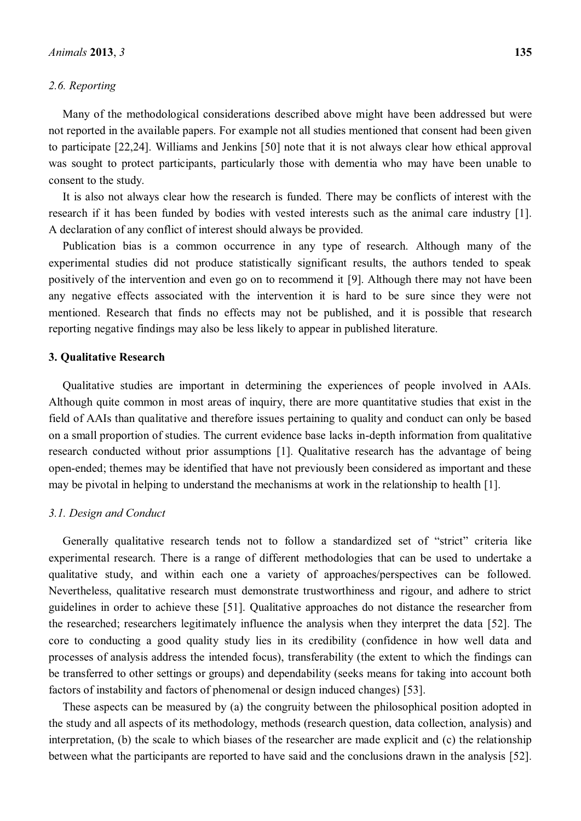## *2.6. Reporting*

Many of the methodological considerations described above might have been addressed but were not reported in the available papers. For example not all studies mentioned that consent had been given to participate [22,24]. Williams and Jenkins [50] note that it is not always clear how ethical approval was sought to protect participants, particularly those with dementia who may have been unable to consent to the study.

It is also not always clear how the research is funded. There may be conflicts of interest with the research if it has been funded by bodies with vested interests such as the animal care industry [1]. A declaration of any conflict of interest should always be provided.

Publication bias is a common occurrence in any type of research. Although many of the experimental studies did not produce statistically significant results, the authors tended to speak positively of the intervention and even go on to recommend it [9]. Although there may not have been any negative effects associated with the intervention it is hard to be sure since they were not mentioned. Research that finds no effects may not be published, and it is possible that research reporting negative findings may also be less likely to appear in published literature.

## **3. Qualitative Research**

Qualitative studies are important in determining the experiences of people involved in AAIs. Although quite common in most areas of inquiry, there are more quantitative studies that exist in the field of AAIs than qualitative and therefore issues pertaining to quality and conduct can only be based on a small proportion of studies. The current evidence base lacks in-depth information from qualitative research conducted without prior assumptions [1]. Qualitative research has the advantage of being open-ended; themes may be identified that have not previously been considered as important and these may be pivotal in helping to understand the mechanisms at work in the relationship to health [1].

## *3.1. Design and Conduct*

Generally qualitative research tends not to follow a standardized set of "strict" criteria like experimental research. There is a range of different methodologies that can be used to undertake a qualitative study, and within each one a variety of approaches/perspectives can be followed. Nevertheless, qualitative research must demonstrate trustworthiness and rigour, and adhere to strict guidelines in order to achieve these [51]. Qualitative approaches do not distance the researcher from the researched; researchers legitimately influence the analysis when they interpret the data [52]. The core to conducting a good quality study lies in its credibility (confidence in how well data and processes of analysis address the intended focus), transferability (the extent to which the findings can be transferred to other settings or groups) and dependability (seeks means for taking into account both factors of instability and factors of phenomenal or design induced changes) [53].

These aspects can be measured by (a) the congruity between the philosophical position adopted in the study and all aspects of its methodology, methods (research question, data collection, analysis) and interpretation, (b) the scale to which biases of the researcher are made explicit and (c) the relationship between what the participants are reported to have said and the conclusions drawn in the analysis [52].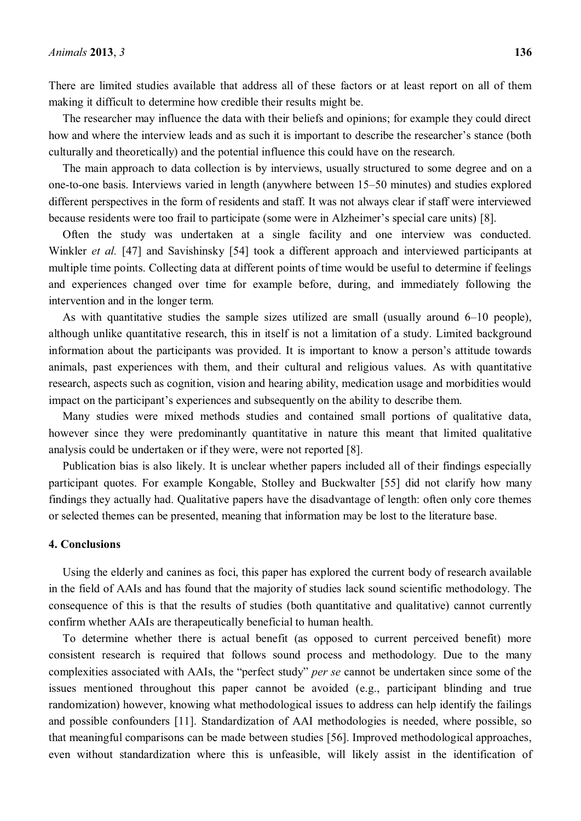There are limited studies available that address all of these factors or at least report on all of them making it difficult to determine how credible their results might be.

The researcher may influence the data with their beliefs and opinions; for example they could direct how and where the interview leads and as such it is important to describe the researcher's stance (both culturally and theoretically) and the potential influence this could have on the research.

The main approach to data collection is by interviews, usually structured to some degree and on a one-to-one basis. Interviews varied in length (anywhere between 15–50 minutes) and studies explored different perspectives in the form of residents and staff. It was not always clear if staff were interviewed because residents were too frail to participate (some were in Alzheimer's special care units) [8].

Often the study was undertaken at a single facility and one interview was conducted. Winkler *et al.* [47] and Savishinsky [54] took a different approach and interviewed participants at multiple time points. Collecting data at different points of time would be useful to determine if feelings and experiences changed over time for example before, during, and immediately following the intervention and in the longer term.

As with quantitative studies the sample sizes utilized are small (usually around  $6-10$  people), although unlike quantitative research, this in itself is not a limitation of a study. Limited background information about the participants was provided. It is important to know a person's attitude towards animals, past experiences with them, and their cultural and religious values. As with quantitative research, aspects such as cognition, vision and hearing ability, medication usage and morbidities would impact on the participant's experiences and subsequently on the ability to describe them.

Many studies were mixed methods studies and contained small portions of qualitative data, however since they were predominantly quantitative in nature this meant that limited qualitative analysis could be undertaken or if they were, were not reported [8].

Publication bias is also likely. It is unclear whether papers included all of their findings especially participant quotes. For example Kongable, Stolley and Buckwalter [55] did not clarify how many findings they actually had. Qualitative papers have the disadvantage of length: often only core themes or selected themes can be presented, meaning that information may be lost to the literature base.

#### **4. Conclusions**

Using the elderly and canines as foci, this paper has explored the current body of research available in the field of AAIs and has found that the majority of studies lack sound scientific methodology. The consequence of this is that the results of studies (both quantitative and qualitative) cannot currently confirm whether AAIs are therapeutically beneficial to human health.

To determine whether there is actual benefit (as opposed to current perceived benefit) more consistent research is required that follows sound process and methodology. Due to the many complexities associated with AAIs, the "perfect study" *per se* cannot be undertaken since some of the issues mentioned throughout this paper cannot be avoided (e.g., participant blinding and true randomization) however, knowing what methodological issues to address can help identify the failings and possible confounders [11]. Standardization of AAI methodologies is needed, where possible, so that meaningful comparisons can be made between studies [56]. Improved methodological approaches, even without standardization where this is unfeasible, will likely assist in the identification of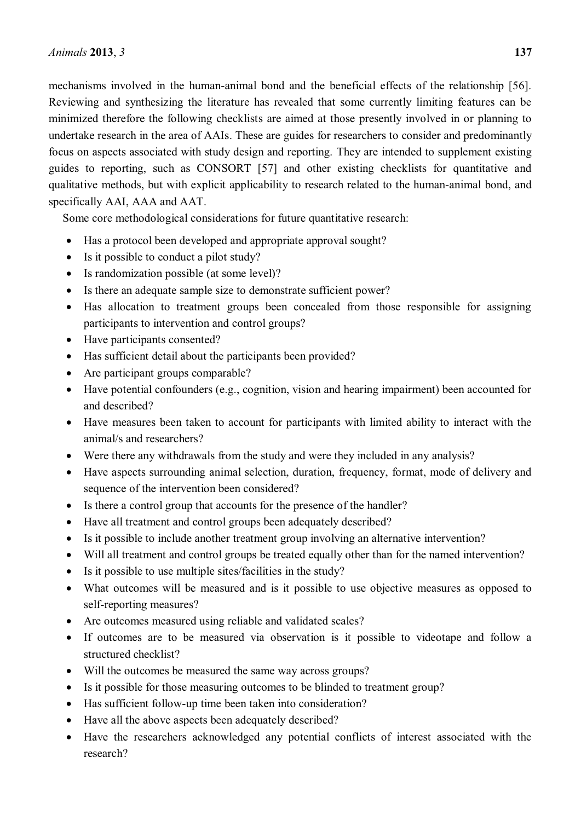mechanisms involved in the human-animal bond and the beneficial effects of the relationship [56]. Reviewing and synthesizing the literature has revealed that some currently limiting features can be minimized therefore the following checklists are aimed at those presently involved in or planning to undertake research in the area of AAIs. These are guides for researchers to consider and predominantly focus on aspects associated with study design and reporting. They are intended to supplement existing guides to reporting, such as CONSORT [57] and other existing checklists for quantitative and qualitative methods, but with explicit applicability to research related to the human-animal bond, and specifically AAI, AAA and AAT.

Some core methodological considerations for future quantitative research:

- Has a protocol been developed and appropriate approval sought?
- Is it possible to conduct a pilot study?
- $\bullet$  Is randomization possible (at some level)?
- Is there an adequate sample size to demonstrate sufficient power?
- Has allocation to treatment groups been concealed from those responsible for assigning participants to intervention and control groups?
- Have participants consented?
- Has sufficient detail about the participants been provided?
- $\bullet$  Are participant groups comparable?
- $\bullet$  Have potential confounders (e.g., cognition, vision and hearing impairment) been accounted for and described?
- Have measures been taken to account for participants with limited ability to interact with the animal/s and researchers?
- Were there any withdrawals from the study and were they included in any analysis?
- Have aspects surrounding animal selection, duration, frequency, format, mode of delivery and sequence of the intervention been considered?
- Is there a control group that accounts for the presence of the handler?
- Have all treatment and control groups been adequately described?
- Is it possible to include another treatment group involving an alternative intervention?
- Will all treatment and control groups be treated equally other than for the named intervention?
- $\bullet$  Is it possible to use multiple sites/facilities in the study?
- What outcomes will be measured and is it possible to use objective measures as opposed to self-reporting measures?
- Are outcomes measured using reliable and validated scales?
- If outcomes are to be measured via observation is it possible to videotape and follow a structured checklist?
- Will the outcomes be measured the same way across groups?
- Is it possible for those measuring outcomes to be blinded to treatment group?
- Has sufficient follow-up time been taken into consideration?
- Have all the above aspects been adequately described?
- Have the researchers acknowledged any potential conflicts of interest associated with the research?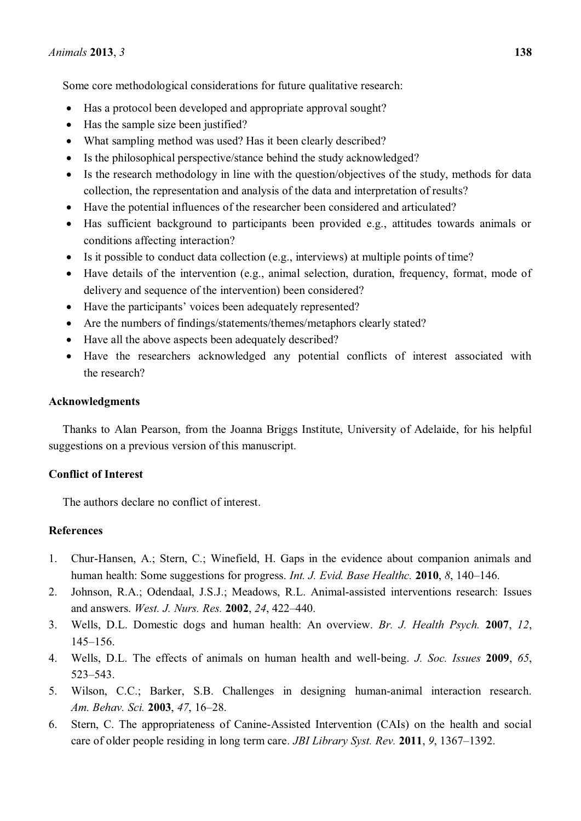Some core methodological considerations for future qualitative research:

- Has a protocol been developed and appropriate approval sought?
- Has the sample size been justified?
- What sampling method was used? Has it been clearly described?
- $\bullet$  Is the philosophical perspective/stance behind the study acknowledged?
- Is the research methodology in line with the question/objectives of the study, methods for data collection, the representation and analysis of the data and interpretation of results?
- Have the potential influences of the researcher been considered and articulated?
- Has sufficient background to participants been provided e.g., attitudes towards animals or conditions affecting interaction?
- Is it possible to conduct data collection (e.g., interviews) at multiple points of time?
- Have details of the intervention (e.g., animal selection, duration, frequency, format, mode of delivery and sequence of the intervention) been considered?
- Have the participants' voices been adequately represented?
- Are the numbers of findings/statements/themes/metaphors clearly stated?
- Have all the above aspects been adequately described?
- Have the researchers acknowledged any potential conflicts of interest associated with the research?

# **Acknowledgments**

Thanks to Alan Pearson, from the Joanna Briggs Institute, University of Adelaide, for his helpful suggestions on a previous version of this manuscript.

# **Conflict of Interest**

The authors declare no conflict of interest.

# **References**

- 1. Chur-Hansen, A.; Stern, C.; Winefield, H. Gaps in the evidence about companion animals and human health: Some suggestions for progress. *Int. J. Evid. Base Healthc.* **2010**, *8*, 140–146.
- 2. Johnson, R.A.; Odendaal, J.S.J.; Meadows, R.L. Animal-assisted interventions research: Issues and answers. *West. J. Nurs. Res.* **2002**, 24, 422–440.
- 3. Wells, D.L. Domestic dogs and human health: An overview. *Br. J. Health Psych.* **2007**, *12*,  $145 - 156$ .
- 4. Wells, D.L. The effects of animals on human health and well-being. *J. Soc. Issues* **2009**, *65*, 523±543.
- 5. Wilson, C.C.; Barker, S.B. Challenges in designing human-animal interaction research. *Am. Behav. Sci.* **2003**, 47, 16-28.
- 6. Stern, C. The appropriateness of Canine-Assisted Intervention (CAIs) on the health and social care of older people residing in long term care. *JBI Library Syst. Rev.* 2011, 9, 1367–1392.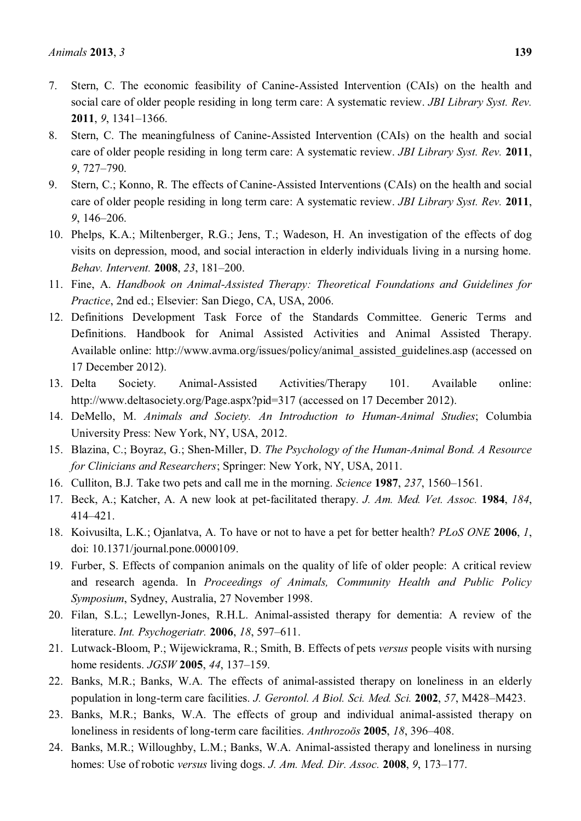- 7. Stern, C. The economic feasibility of Canine-Assisted Intervention (CAIs) on the health and social care of older people residing in long term care: A systematic review. *JBI Library Syst. Rev.* **2011**, 9, 1341-1366.
- 8. Stern, C. The meaningfulness of Canine-Assisted Intervention (CAIs) on the health and social care of older people residing in long term care: A systematic review. *JBI Library Syst. Rev.* **2011**, *9*, 727±790.
- 9. Stern, C.; Konno, R. The effects of Canine-Assisted Interventions (CAIs) on the health and social care of older people residing in long term care: A systematic review. *JBI Library Syst. Rev.* **2011**, 9, 146-206.
- 10. Phelps, K.A.; Miltenberger, R.G.; Jens, T.; Wadeson, H. An investigation of the effects of dog visits on depression, mood, and social interaction in elderly individuals living in a nursing home. *Behav. Intervent.* **2008**, 23, 181-200.
- 11. Fine, A. *Handbook on Animal-Assisted Therapy: Theoretical Foundations and Guidelines for Practice*, 2nd ed.; Elsevier: San Diego, CA, USA, 2006.
- 12. Definitions Development Task Force of the Standards Committee. Generic Terms and Definitions. Handbook for Animal Assisted Activities and Animal Assisted Therapy. Available online: http://www.avma.org/issues/policy/animal\_assisted\_guidelines.asp (accessed on 17 December 2012).
- 13. Delta Society. Animal-Assisted Activities/Therapy 101. Available online: http://www.deltasociety.org/Page.aspx?pid=317 (accessed on 17 December 2012).
- 14. DeMello, M. *Animals and Society. An Introduction to Human-Animal Studies*; Columbia University Press: New York, NY, USA, 2012.
- 15. Blazina, C.; Boyraz, G.; Shen-Miller, D. *The Psychology of the Human-Animal Bond. A Resource for Clinicians and Researchers*; Springer: New York, NY, USA, 2011.
- 16. Culliton, B.J. Take two pets and call me in the morning. *Science* **1987**, 237, 1560–1561.
- 17. Beck, A.; Katcher, A. A new look at pet-facilitated therapy. *J. Am. Med. Vet. Assoc.* **1984**, *184*, 414±421.
- 18. Koivusilta, L.K.; Ojanlatva, A. To have or not to have a pet for better health? *PLoS ONE* **2006**, *1*, doi: 10.1371/journal.pone.0000109.
- 19. Furber, S. Effects of companion animals on the quality of life of older people: A critical review and research agenda. In *Proceedings of Animals, Community Health and Public Policy Symposium*, Sydney, Australia, 27 November 1998.
- 20. Filan, S.L.; Lewellyn-Jones, R.H.L. Animal-assisted therapy for dementia: A review of the literature. *Int. Psychogeriatr.* **2006**, *18*, 597–611.
- 21. Lutwack-Bloom, P.; Wijewickrama, R.; Smith, B. Effects of pets *versus* people visits with nursing home residents. *JGSW* 2005, 44, 137-159.
- 22. Banks, M.R.; Banks, W.A. The effects of animal-assisted therapy on loneliness in an elderly population in long-term care facilities. *J. Gerontol. A Biol. Sci. Med. Sci.* 2002, 57, M428-M423.
- 23. Banks, M.R.; Banks, W.A. The effects of group and individual animal-assisted therapy on loneliness in residents of long-term care facilities. *Anthrozoös* 2005, 18, 396–408.
- 24. Banks, M.R.; Willoughby, L.M.; Banks, W.A. Animal-assisted therapy and loneliness in nursing homes: Use of robotic *versus* living dogs. *J. Am. Med. Dir. Assoc.* **2008**, 9, 173–177.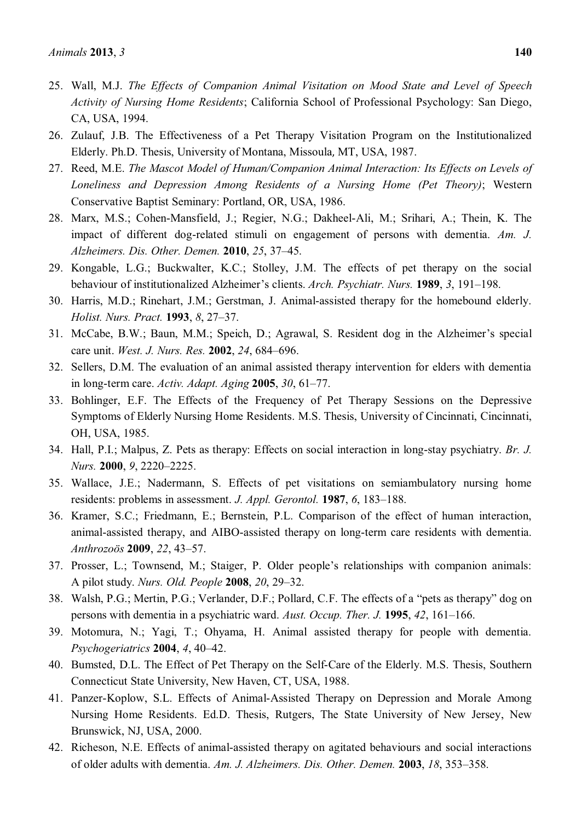- 25. Wall, M.J. *The Effects of Companion Animal Visitation on Mood State and Level of Speech Activity of Nursing Home Residents*; California School of Professional Psychology: San Diego, CA, USA, 1994.
- 26. Zulauf, J.B. The Effectiveness of a Pet Therapy Visitation Program on the Institutionalized Elderly. Ph.D. Thesis, University of Montana, Missoula, MT, USA, 1987.
- 27. Reed, M.E. *The Mascot Model of Human/Companion Animal Interaction: Its Effects on Levels of Loneliness and Depression Among Residents of a Nursing Home (Pet Theory)*; Western Conservative Baptist Seminary: Portland, OR, USA, 1986.
- 28. Marx, M.S.; Cohen-Mansfield, J.; Regier, N.G.; Dakheel-Ali, M.; Srihari, A.; Thein, K. The impact of different dog-related stimuli on engagement of persons with dementia. *Am. J. Alzheimers. Dis. Other. Demen.* **2010**, *25*, 37±45.
- 29. Kongable, L.G.; Buckwalter, K.C.; Stolley, J.M. The effects of pet therapy on the social behaviour of institutionalized Alzheimer's clients. *Arch. Psychiatr. Nurs.* **1989**, 3, 191–198.
- 30. Harris, M.D.; Rinehart, J.M.; Gerstman, J. Animal-assisted therapy for the homebound elderly. *Holist. Nurs. Pract.* **1993**, *8*, 27–37.
- 31. McCabe, B.W.; Baun, M.M.; Speich, D.; Agrawal, S. Resident dog in the Alzheimer's special care unit. *West. J. Nurs. Res.* 2002, 24, 684-696.
- 32. Sellers, D.M. The evaluation of an animal assisted therapy intervention for elders with dementia in long-term care. *Activ. Adapt. Aging* 2005, 30, 61-77.
- 33. Bohlinger, E.F. The Effects of the Frequency of Pet Therapy Sessions on the Depressive Symptoms of Elderly Nursing Home Residents. M.S. Thesis, University of Cincinnati, Cincinnati, OH, USA, 1985.
- 34. Hall, P.I.; Malpus, Z. Pets as therapy: Effects on social interaction in long-stay psychiatry. *Br. J. Nurs.* **2000**, *9*, 2220–2225.
- 35. Wallace, J.E.; Nadermann, S. Effects of pet visitations on semiambulatory nursing home residents: problems in assessment. *J. Appl. Gerontol.* **1987**, *6*, 183–188.
- 36. Kramer, S.C.; Friedmann, E.; Bernstein, P.L. Comparison of the effect of human interaction, animal-assisted therapy, and AIBO-assisted therapy on long-term care residents with dementia. *Anthrozoös* **2009**, 22, 43-57.
- 37. Prosser, L.; Townsend, M.; Staiger, P. Older people's relationships with companion animals: A pilot study. *Nurs. Old. People* **2008**, *20*, 29±32.
- 38. Walsh, P.G.; Mertin, P.G.; Verlander, D.F.; Pollard, C.F. The effects of a "pets as therapy" dog on persons with dementia in a psychiatric ward. *Aust. Occup. Ther. J.* **1995**, 42, 161–166.
- 39. Motomura, N.; Yagi, T.; Ohyama, H. Animal assisted therapy for people with dementia. *Psychogeriatrics* **2004**, 4, 40–42.
- 40. Bumsted, D.L. The Effect of Pet Therapy on the Self-Care of the Elderly. M.S. Thesis, Southern Connecticut State University, New Haven, CT, USA, 1988.
- 41. Panzer-Koplow, S.L. Effects of Animal-Assisted Therapy on Depression and Morale Among Nursing Home Residents. Ed.D. Thesis, Rutgers, The State University of New Jersey, New Brunswick, NJ, USA, 2000.
- 42. Richeson, N.E. Effects of animal-assisted therapy on agitated behaviours and social interactions of older adults with dementia. Am. J. Alzheimers. Dis. Other. Demen. 2003, 18, 353-358.